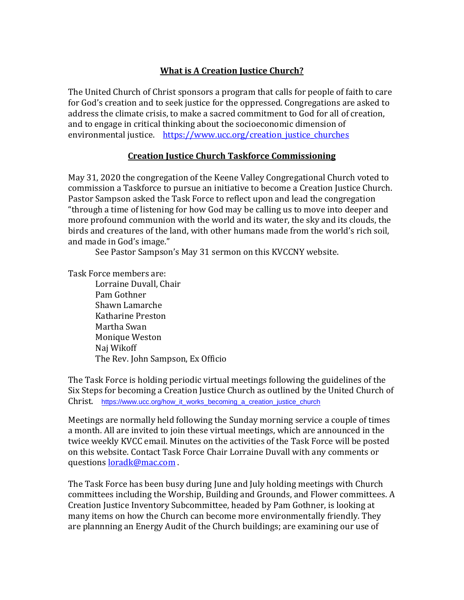## **What is A Creation Justice Church?**

The United Church of Christ sponsors a program that calls for people of faith to care for God's creation and to seek justice for the oppressed. Congregations are asked to address the climate crisis, to make a sacred commitment to God for all of creation, and to engage in critical thinking about the socioeconomic dimension of environmental justice. https://www.ucc.org/creation justice churches

## **Creation Justice Church Taskforce Commissioning**

May 31, 2020 the congregation of the Keene Valley Congregational Church voted to commission a Taskforce to pursue an initiative to become a Creation Justice Church. Pastor Sampson asked the Task Force to reflect upon and lead the congregation "through a time of listening for how God may be calling us to move into deeper and more profound communion with the world and its water, the sky and its clouds, the birds and creatures of the land, with other humans made from the world's rich soil, and made in God's image."

See Pastor Sampson's May 31 sermon on this KVCCNY website.

Task Force members are:

Lorraine Duvall, Chair Pam Gothner Shawn Lamarche Katharine Preston Martha Swan Monique Weston Naj Wikoff The Rev. John Sampson, Ex Officio

The Task Force is holding periodic virtual meetings following the guidelines of the Six Steps for becoming a Creation Justice Church as outlined by the United Church of Christ. [https://www.ucc.org/how\\_it\\_works\\_becoming\\_a\\_creation\\_justice\\_church](https://www.ucc.org/how_it_works_becoming_a_creation_justice_church)

Meetings are normally held following the Sunday morning service a couple of times a month. All are invited to join these virtual meetings, which are announced in the twice weekly KVCC email. Minutes on the activities of the Task Force will be posted on this website. Contact Task Force Chair Lorraine Duvall with any comments or questions [loradk@mac.com](mailto:loradk@mac.com) .

The Task Force has been busy during June and July holding meetings with Church committees including the Worship, Building and Grounds, and Flower committees. A Creation Justice Inventory Subcommittee, headed by Pam Gothner, is looking at many items on how the Church can become more environmentally friendly. They are plannning an Energy Audit of the Church buildings; are examining our use of